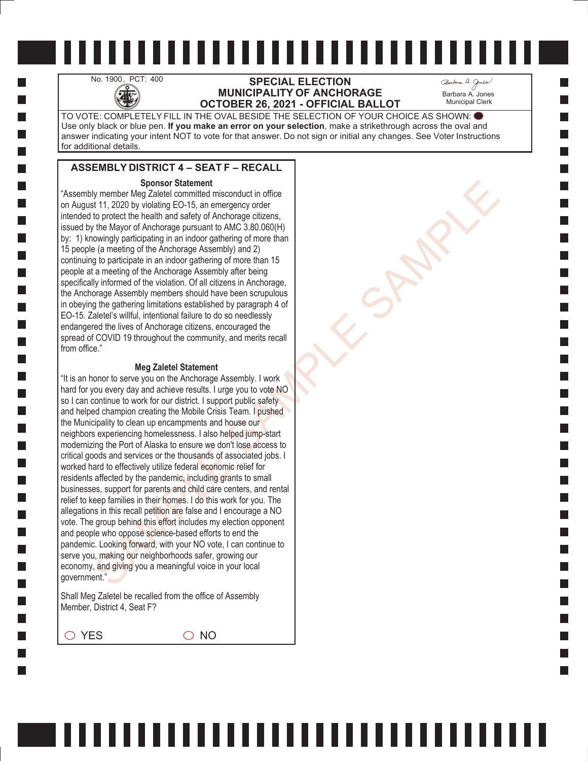# No. 1900, PCT: 400 **SPECIAL ELECTION**<br>MUNICIPALITY OF ANCHO **MUNICIPALITY OF ANCHORAGE OCTOBER 26, 2021 - OFFICIAL BALLOT**

Barbara A. Jones Municipal Clerk

TO VOTE: COMPLETELY FILL IN THE OVAL BESIDE THE SELECTION OF YOUR CHOICE AS SHOWN: Use only black or blue pen. **If you make an error on your selection**, make a strikethrough across the oval and answer indicating your intent NOT to vote for that answer. Do not sign or initial any changes. See Voter Instructions for additional details.

## **ASSEMBLY DISTRICT 4 – SEAT F – RECALL**

#### **Sponsor Statement**

"Assembly member Meg Zaletel committed misconduct in office on August 11, 2020 by violating EO-15, an emergency order intended to protect the health and safety of Anchorage citizens, issued by the Mayor of Anchorage pursuant to AMC 3.80.060(H) by: 1) knowingly participating in an indoor gathering of more than 15 people (a meeting of the Anchorage Assembly) and 2) continuing to participate in an indoor gathering of more than 15 people at a meeting of the Anchorage Assembly after being specifically informed of the violation. Of all citizens in Anchorage, the Anchorage Assembly members should have been scrupulous in obeying the gathering limitations established by paragraph 4 of EO-15. Zaletel's willful, intentional failure to do so needlessly endangered the lives of Anchorage citizens, encouraged the spread of COVID 19 throughout the community, and merits recall from office."

#### **Meg Zaletel Statement**

Sparse of Statement<br>
Sparse (and the material in sisconduct in office<br>
for the product the health and stately of Anchorage otizens,<br>
the Mayr of Anchorage pursuant to AMC 3.80.000(H)<br>
the Mayr of Anchorage pursuant to AMC "It is an honor to serve you on the Anchorage Assembly. I work hard for you every day and achieve results. I urge you to vote NO so I can continue to work for our district. I support public safety and helped champion creating the Mobile Crisis Team. I pushed the Municipality to clean up encampments and house our neighbors experiencing homelessness. I also helped jump-start modernizing the Port of Alaska to ensure we don't lose access to critical goods and services or the thousands of associated jobs. I worked hard to effectively utilize federal economic relief for residents affected by the pandemic, including grants to small businesses, support for parents and child care centers, and rental relief to keep families in their homes. I do this work for you. The allegations in this recall petition are false and I encourage a NO vote. The group behind this effort includes my election opponent and people who oppose science-based efforts to end the pandemic. Looking forward, with your NO vote, I can continue to serve you, making our neighborhoods safer, growing our economy, and giving you a meaningful voice in your local government."

Shall Meg Zaletel be recalled from the office of Assembly Member, District 4, Seat F?

 $\bigcirc$  YES  $\bigcirc$  NO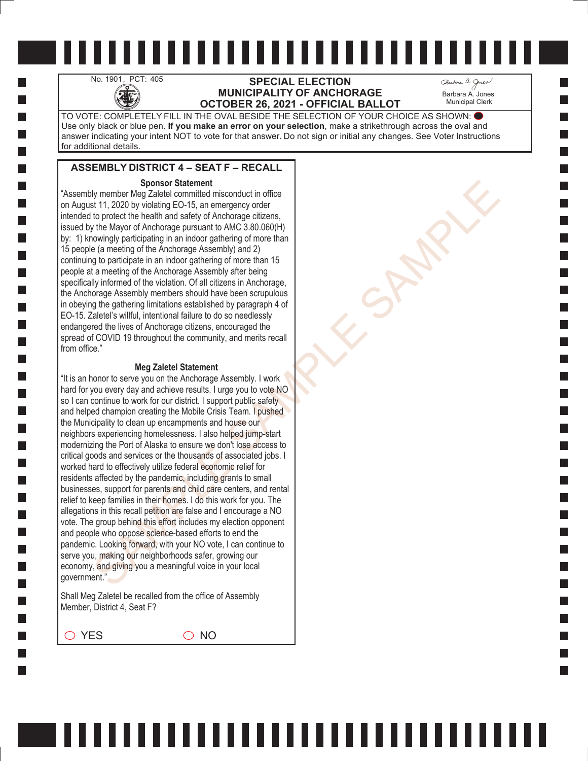## No. 1901, PCT: 405<br>**SPECIAL ELECTION**<br>**MUNICIPALITY OF ANCHO**<br>**OCTOBER 26 2021 - OFFICIAL MUNICIPALITY OF ANCHORAGE OCTOBER 26, 2021 - OFFICIAL BALLOT**

Barbara A. Jones Municipal Clerk

TO VOTE: COMPLETELY FILL IN THE OVAL BESIDE THE SELECTION OF YOUR CHOICE AS SHOWN: Use only black or blue pen. **If you make an error on your selection**, make a strikethrough across the oval and answer indicating your intent NOT to vote for that answer. Do not sign or initial any changes. See Voter Instructions for additional details.

# **ASSEMBLY DISTRICT 4 – SEAT F – RECALL**

#### **Sponsor Statement**

"Assembly member Meg Zaletel committed misconduct in office on August 11, 2020 by violating EO-15, an emergency order intended to protect the health and safety of Anchorage citizens, issued by the Mayor of Anchorage pursuant to AMC 3.80.060(H) by: 1) knowingly participating in an indoor gathering of more than 15 people (a meeting of the Anchorage Assembly) and 2) continuing to participate in an indoor gathering of more than 15 people at a meeting of the Anchorage Assembly after being specifically informed of the violation. Of all citizens in Anchorage, the Anchorage Assembly members should have been scrupulous in obeying the gathering limitations established by paragraph 4 of EO-15. Zaletel's willful, intentional failure to do so needlessly endangered the lives of Anchorage citizens, encouraged the spread of COVID 19 throughout the community, and merits recall from office."

#### **Meg Zaletel Statement**

Sparse of Statement<br>
Sparse (and the material in sisconduct in office<br>
for the product the health and stately of Anchorage otizens,<br>
the Mayr of Anchorage pursuant to AMC 3.80.000(H)<br>
the Mayr of Anchorage pursuant to AMC "It is an honor to serve you on the Anchorage Assembly. I work hard for you every day and achieve results. I urge you to vote NO so I can continue to work for our district. I support public safety and helped champion creating the Mobile Crisis Team. I pushed the Municipality to clean up encampments and house our neighbors experiencing homelessness. I also helped jump-start modernizing the Port of Alaska to ensure we don't lose access to critical goods and services or the thousands of associated jobs. I worked hard to effectively utilize federal economic relief for residents affected by the pandemic, including grants to small businesses, support for parents and child care centers, and rental relief to keep families in their homes. I do this work for you. The allegations in this recall petition are false and I encourage a NO vote. The group behind this effort includes my election opponent and people who oppose science-based efforts to end the pandemic. Looking forward, with your NO vote, I can continue to serve you, making our neighborhoods safer, growing our economy, and giving you a meaningful voice in your local government."

Shall Meg Zaletel be recalled from the office of Assembly Member, District 4, Seat F?

 $\bigcirc$  YES  $\bigcirc$  NO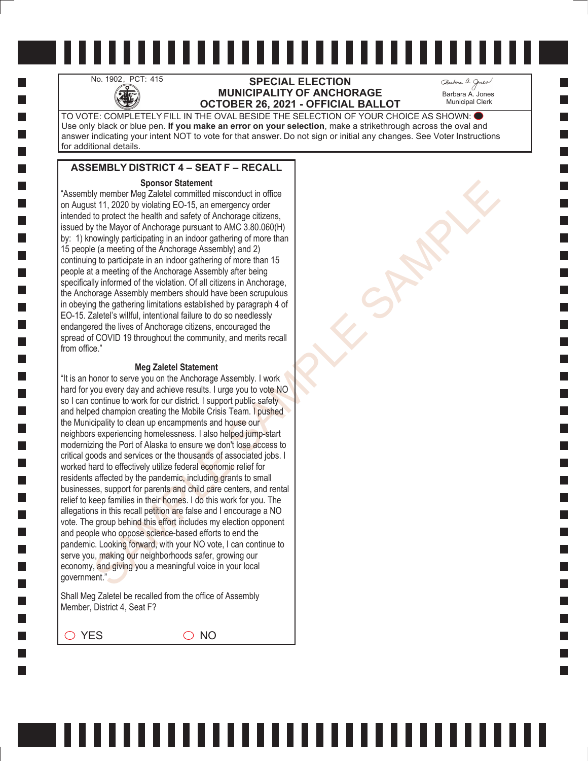## No. 1902, PCT: 415 **SPECIAL ELECTION**<br>MUNICIPALITY OF ANCHO<br>OCTOBER 26, 2021 - OFFICIAL **MUNICIPALITY OF ANCHORAGE OCTOBER 26, 2021 - OFFICIAL BALLOT**

Barbara A. Jones Municipal Clerk

TO VOTE: COMPLETELY FILL IN THE OVAL BESIDE THE SELECTION OF YOUR CHOICE AS SHOWN: Use only black or blue pen. **If you make an error on your selection**, make a strikethrough across the oval and answer indicating your intent NOT to vote for that answer. Do not sign or initial any changes. See Voter Instructions for additional details.

## **ASSEMBLY DISTRICT 4 – SEAT F – RECALL**

#### **Sponsor Statement**

"Assembly member Meg Zaletel committed misconduct in office on August 11, 2020 by violating EO-15, an emergency order intended to protect the health and safety of Anchorage citizens, issued by the Mayor of Anchorage pursuant to AMC 3.80.060(H) by: 1) knowingly participating in an indoor gathering of more than 15 people (a meeting of the Anchorage Assembly) and 2) continuing to participate in an indoor gathering of more than 15 people at a meeting of the Anchorage Assembly after being specifically informed of the violation. Of all citizens in Anchorage, the Anchorage Assembly members should have been scrupulous in obeying the gathering limitations established by paragraph 4 of EO-15. Zaletel's willful, intentional failure to do so needlessly endangered the lives of Anchorage citizens, encouraged the spread of COVID 19 throughout the community, and merits recall from office."

#### **Meg Zaletel Statement**

Sparse of Statement<br>
Sparse (and the material in sisconduct in office<br>
for the product the health and stately of Anchorage otizens,<br>
the Mayr of Anchorage pursuant to AMC 3.80.000(H)<br>
the Mayr of Anchorage pursuant to AMC "It is an honor to serve you on the Anchorage Assembly. I work hard for you every day and achieve results. I urge you to vote NO so I can continue to work for our district. I support public safety and helped champion creating the Mobile Crisis Team. I pushed the Municipality to clean up encampments and house our neighbors experiencing homelessness. I also helped jump-start modernizing the Port of Alaska to ensure we don't lose access to critical goods and services or the thousands of associated jobs. I worked hard to effectively utilize federal economic relief for residents affected by the pandemic, including grants to small businesses, support for parents and child care centers, and rental relief to keep families in their homes. I do this work for you. The allegations in this recall petition are false and I encourage a NO vote. The group behind this effort includes my election opponent and people who oppose science-based efforts to end the pandemic. Looking forward, with your NO vote, I can continue to serve you, making our neighborhoods safer, growing our economy, and giving you a meaningful voice in your local government."

Shall Meg Zaletel be recalled from the office of Assembly Member, District 4, Seat F?

 $\bigcirc$  YES  $\bigcirc$  NO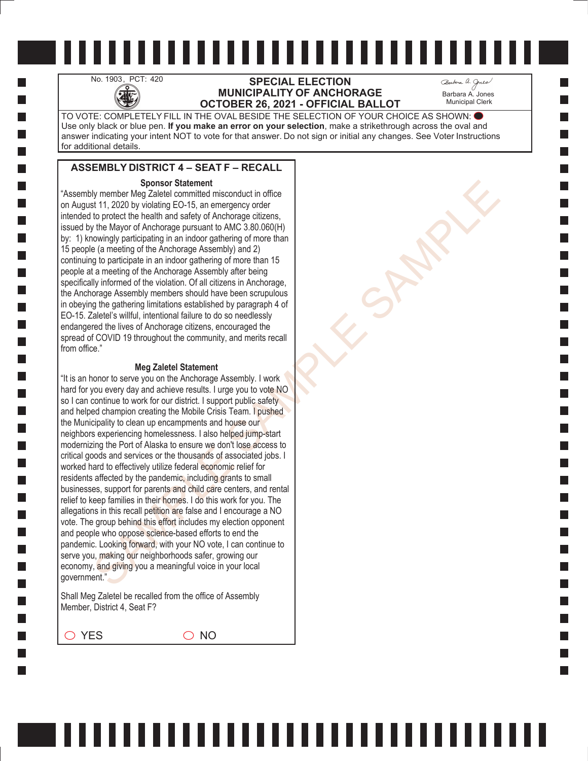# No. 1903, PCT: 420 **SPECIAL ELECTION**<br>MUNICIPALITY OF ANCHO<br>OCTOBER 26, 2021 - OFFICIAL **MUNICIPALITY OF ANCHORAGE OCTOBER 26, 2021 - OFFICIAL BALLOT**

Barbara A. Jones Municipal Clerk

TO VOTE: COMPLETELY FILL IN THE OVAL BESIDE THE SELECTION OF YOUR CHOICE AS SHOWN: Use only black or blue pen. **If you make an error on your selection**, make a strikethrough across the oval and answer indicating your intent NOT to vote for that answer. Do not sign or initial any changes. See Voter Instructions for additional details.

### **ASSEMBLY DISTRICT 4 – SEAT F – RECALL**

#### **Sponsor Statement**

"Assembly member Meg Zaletel committed misconduct in office on August 11, 2020 by violating EO-15, an emergency order intended to protect the health and safety of Anchorage citizens, issued by the Mayor of Anchorage pursuant to AMC 3.80.060(H) by: 1) knowingly participating in an indoor gathering of more than 15 people (a meeting of the Anchorage Assembly) and 2) continuing to participate in an indoor gathering of more than 15 people at a meeting of the Anchorage Assembly after being specifically informed of the violation. Of all citizens in Anchorage, the Anchorage Assembly members should have been scrupulous in obeying the gathering limitations established by paragraph 4 of EO-15. Zaletel's willful, intentional failure to do so needlessly endangered the lives of Anchorage citizens, encouraged the spread of COVID 19 throughout the community, and merits recall from office."

#### **Meg Zaletel Statement**

Sparse of Statement<br>
Sparse (and the material in sisconduct in office<br>
for the product the health and stately of Anchorage otizens,<br>
the Mayr of Anchorage pursuant to AMC 3.80.000(H)<br>
the Mayr of Anchorage pursuant to AMC "It is an honor to serve you on the Anchorage Assembly. I work hard for you every day and achieve results. I urge you to vote NO so I can continue to work for our district. I support public safety and helped champion creating the Mobile Crisis Team. I pushed the Municipality to clean up encampments and house our neighbors experiencing homelessness. I also helped jump-start modernizing the Port of Alaska to ensure we don't lose access to critical goods and services or the thousands of associated jobs. I worked hard to effectively utilize federal economic relief for residents affected by the pandemic, including grants to small businesses, support for parents and child care centers, and rental relief to keep families in their homes. I do this work for you. The allegations in this recall petition are false and I encourage a NO vote. The group behind this effort includes my election opponent and people who oppose science-based efforts to end the pandemic. Looking forward, with your NO vote, I can continue to serve you, making our neighborhoods safer, growing our economy, and giving you a meaningful voice in your local government."

Shall Meg Zaletel be recalled from the office of Assembly Member, District 4, Seat F?

 $\bigcirc$  YES  $\bigcirc$  NO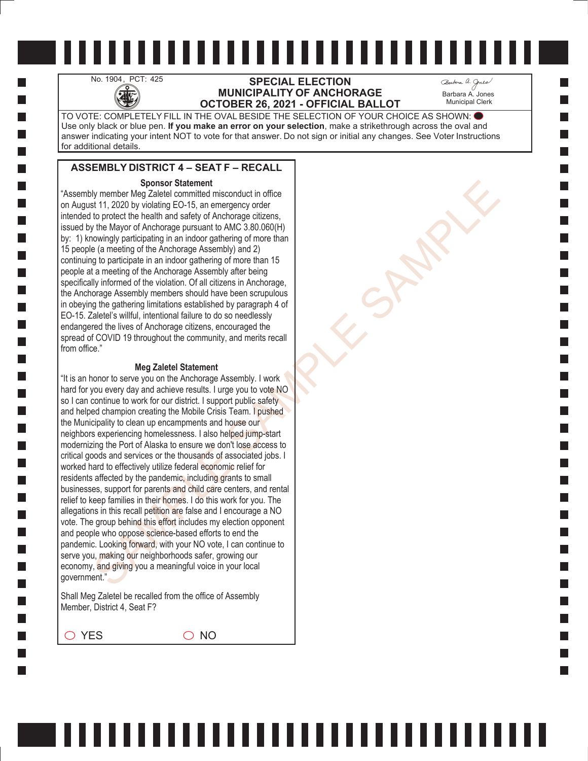# No. 1904, PCT: 425 **SPECIAL ELECTION**<br>MUNICIPALITY OF ANCHO **MUNICIPALITY OF ANCHORAGE OCTOBER 26, 2021 - OFFICIAL BALLOT**

Barbara A. Jones Municipal Clerk

TO VOTE: COMPLETELY FILL IN THE OVAL BESIDE THE SELECTION OF YOUR CHOICE AS SHOWN: Use only black or blue pen. **If you make an error on your selection**, make a strikethrough across the oval and answer indicating your intent NOT to vote for that answer. Do not sign or initial any changes. See Voter Instructions for additional details.

## **ASSEMBLY DISTRICT 4 – SEAT F – RECALL**

#### **Sponsor Statement**

"Assembly member Meg Zaletel committed misconduct in office on August 11, 2020 by violating EO-15, an emergency order intended to protect the health and safety of Anchorage citizens, issued by the Mayor of Anchorage pursuant to AMC 3.80.060(H) by: 1) knowingly participating in an indoor gathering of more than 15 people (a meeting of the Anchorage Assembly) and 2) continuing to participate in an indoor gathering of more than 15 people at a meeting of the Anchorage Assembly after being specifically informed of the violation. Of all citizens in Anchorage, the Anchorage Assembly members should have been scrupulous in obeying the gathering limitations established by paragraph 4 of EO-15. Zaletel's willful, intentional failure to do so needlessly endangered the lives of Anchorage citizens, encouraged the spread of COVID 19 throughout the community, and merits recall from office."

#### **Meg Zaletel Statement**

Sparse of Statement<br>
Sparse (and the material in sisconduct in office<br>
for the product the health and stately of Anchorage otizens,<br>
the Mayr of Anchorage pursuant to AMC 3.80.000(H)<br>
the Mayr of Anchorage pursuant to AMC "It is an honor to serve you on the Anchorage Assembly. I work hard for you every day and achieve results. I urge you to vote NO so I can continue to work for our district. I support public safety and helped champion creating the Mobile Crisis Team. I pushed the Municipality to clean up encampments and house our neighbors experiencing homelessness. I also helped jump-start modernizing the Port of Alaska to ensure we don't lose access to critical goods and services or the thousands of associated jobs. I worked hard to effectively utilize federal economic relief for residents affected by the pandemic, including grants to small businesses, support for parents and child care centers, and rental relief to keep families in their homes. I do this work for you. The allegations in this recall petition are false and I encourage a NO vote. The group behind this effort includes my election opponent and people who oppose science-based efforts to end the pandemic. Looking forward, with your NO vote, I can continue to serve you, making our neighborhoods safer, growing our economy, and giving you a meaningful voice in your local government."

Shall Meg Zaletel be recalled from the office of Assembly Member, District 4, Seat F?

 $\bigcirc$  YES  $\bigcirc$  NO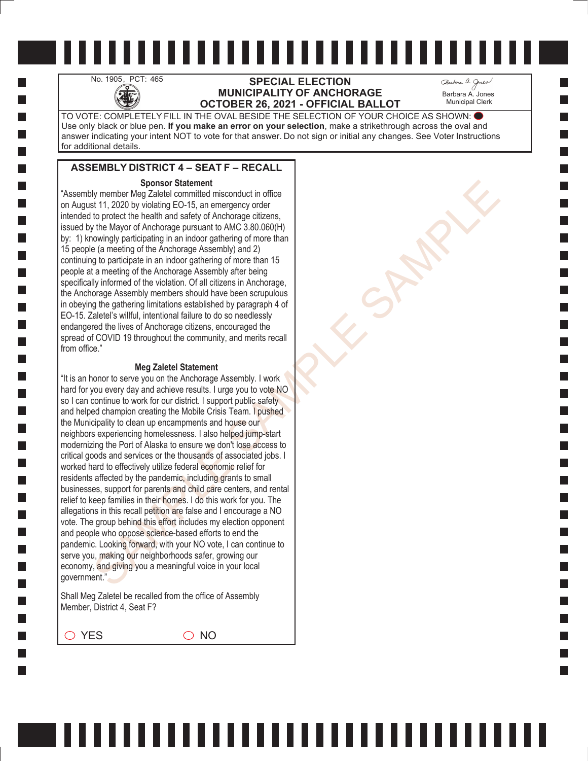## No. 1905, PCT: 465<br>**SPECIAL ELECTION**<br>**MUNICIPALITY OF ANCHO**<br>**OCTOBER 26 2021 - OFFICIAL MUNICIPALITY OF ANCHORAGE OCTOBER 26, 2021 - OFFICIAL BALLOT**

Barbara A. Jones Municipal Clerk

TO VOTE: COMPLETELY FILL IN THE OVAL BESIDE THE SELECTION OF YOUR CHOICE AS SHOWN: Use only black or blue pen. **If you make an error on your selection**, make a strikethrough across the oval and answer indicating your intent NOT to vote for that answer. Do not sign or initial any changes. See Voter Instructions for additional details.

## **ASSEMBLY DISTRICT 4 – SEAT F – RECALL**

#### **Sponsor Statement**

"Assembly member Meg Zaletel committed misconduct in office on August 11, 2020 by violating EO-15, an emergency order intended to protect the health and safety of Anchorage citizens, issued by the Mayor of Anchorage pursuant to AMC 3.80.060(H) by: 1) knowingly participating in an indoor gathering of more than 15 people (a meeting of the Anchorage Assembly) and 2) continuing to participate in an indoor gathering of more than 15 people at a meeting of the Anchorage Assembly after being specifically informed of the violation. Of all citizens in Anchorage, the Anchorage Assembly members should have been scrupulous in obeying the gathering limitations established by paragraph 4 of EO-15. Zaletel's willful, intentional failure to do so needlessly endangered the lives of Anchorage citizens, encouraged the spread of COVID 19 throughout the community, and merits recall from office."

#### **Meg Zaletel Statement**

Sparse of Statement<br>
Sparse (and the material in sisconduct in office<br>
for the product the health and stately of Anchorage otizens,<br>
the Mayr of Anchorage pursuant to AMC 3.80.000(H)<br>
the Mayr of Anchorage pursuant to AMC "It is an honor to serve you on the Anchorage Assembly. I work hard for you every day and achieve results. I urge you to vote NO so I can continue to work for our district. I support public safety and helped champion creating the Mobile Crisis Team. I pushed the Municipality to clean up encampments and house our neighbors experiencing homelessness. I also helped jump-start modernizing the Port of Alaska to ensure we don't lose access to critical goods and services or the thousands of associated jobs. I worked hard to effectively utilize federal economic relief for residents affected by the pandemic, including grants to small businesses, support for parents and child care centers, and rental relief to keep families in their homes. I do this work for you. The allegations in this recall petition are false and I encourage a NO vote. The group behind this effort includes my election opponent and people who oppose science-based efforts to end the pandemic. Looking forward, with your NO vote, I can continue to serve you, making our neighborhoods safer, growing our economy, and giving you a meaningful voice in your local government."

Shall Meg Zaletel be recalled from the office of Assembly Member, District 4, Seat F?

 $\bigcirc$  YES  $\bigcirc$  NO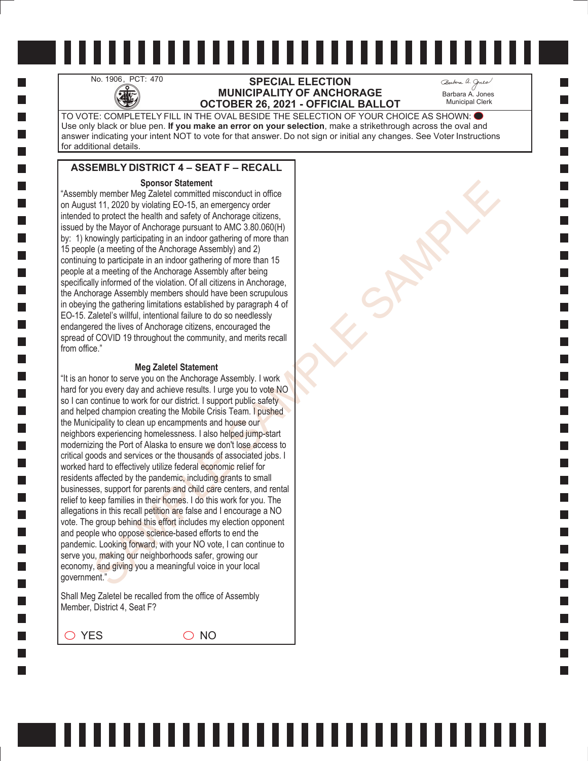# No. 1906, PCT: 470 **SPECIAL ELECTION**<br>MUNICIPALITY OF ANCHO **MUNICIPALITY OF ANCHORAGE OCTOBER 26, 2021 - OFFICIAL BALLOT**

Barbara A. Jones Municipal Clerk

TO VOTE: COMPLETELY FILL IN THE OVAL BESIDE THE SELECTION OF YOUR CHOICE AS SHOWN: Use only black or blue pen. **If you make an error on your selection**, make a strikethrough across the oval and answer indicating your intent NOT to vote for that answer. Do not sign or initial any changes. See Voter Instructions for additional details.

# **ASSEMBLY DISTRICT 4 – SEAT F – RECALL**

#### **Sponsor Statement**

"Assembly member Meg Zaletel committed misconduct in office on August 11, 2020 by violating EO-15, an emergency order intended to protect the health and safety of Anchorage citizens, issued by the Mayor of Anchorage pursuant to AMC 3.80.060(H) by: 1) knowingly participating in an indoor gathering of more than 15 people (a meeting of the Anchorage Assembly) and 2) continuing to participate in an indoor gathering of more than 15 people at a meeting of the Anchorage Assembly after being specifically informed of the violation. Of all citizens in Anchorage, the Anchorage Assembly members should have been scrupulous in obeying the gathering limitations established by paragraph 4 of EO-15. Zaletel's willful, intentional failure to do so needlessly endangered the lives of Anchorage citizens, encouraged the spread of COVID 19 throughout the community, and merits recall from office."

#### **Meg Zaletel Statement**

Sparse of Statement<br>
Sparse (and the material in sisconduct in office<br>
for the product the health and stately of Anchorage otizens,<br>
the Mayr of Anchorage pursuant to AMC 3.80.000(H)<br>
the Mayr of Anchorage pursuant to AMC "It is an honor to serve you on the Anchorage Assembly. I work hard for you every day and achieve results. I urge you to vote NO so I can continue to work for our district. I support public safety and helped champion creating the Mobile Crisis Team. I pushed the Municipality to clean up encampments and house our neighbors experiencing homelessness. I also helped jump-start modernizing the Port of Alaska to ensure we don't lose access to critical goods and services or the thousands of associated jobs. I worked hard to effectively utilize federal economic relief for residents affected by the pandemic, including grants to small businesses, support for parents and child care centers, and rental relief to keep families in their homes. I do this work for you. The allegations in this recall petition are false and I encourage a NO vote. The group behind this effort includes my election opponent and people who oppose science-based efforts to end the pandemic. Looking forward, with your NO vote, I can continue to serve you, making our neighborhoods safer, growing our economy, and giving you a meaningful voice in your local government."

Shall Meg Zaletel be recalled from the office of Assembly Member, District 4, Seat F?

 $\bigcirc$  YES  $\bigcirc$  NO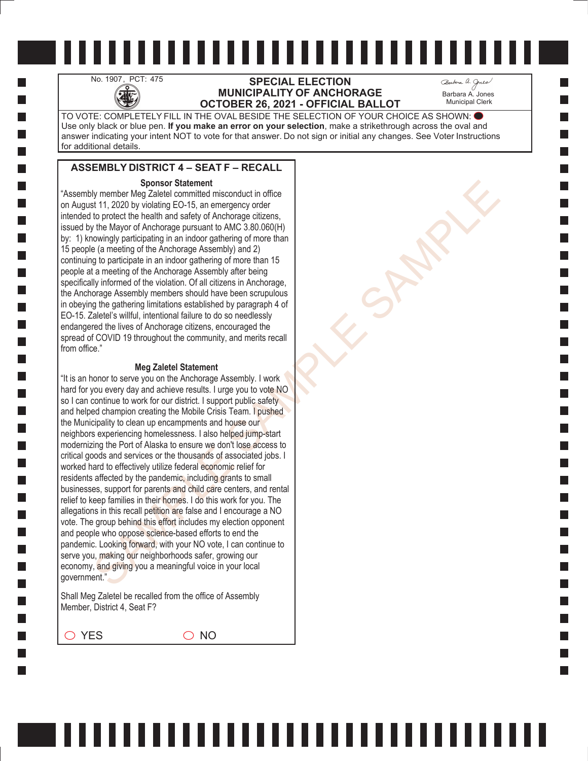# No. 1907, PCT: 475 **SPECIAL ELECTION**<br>MUNICIPALITY OF ANCHO<br>COLORER 26 2024 OFFICIAL **MUNICIPALITY OF ANCHORAGE OCTOBER 26, 2021 - OFFICIAL BALLOT**

Barbara A. Jones Municipal Clerk

TO VOTE: COMPLETELY FILL IN THE OVAL BESIDE THE SELECTION OF YOUR CHOICE AS SHOWN: Use only black or blue pen. **If you make an error on your selection**, make a strikethrough across the oval and answer indicating your intent NOT to vote for that answer. Do not sign or initial any changes. See Voter Instructions for additional details.

## **ASSEMBLY DISTRICT 4 – SEAT F – RECALL**

#### **Sponsor Statement**

"Assembly member Meg Zaletel committed misconduct in office on August 11, 2020 by violating EO-15, an emergency order intended to protect the health and safety of Anchorage citizens, issued by the Mayor of Anchorage pursuant to AMC 3.80.060(H) by: 1) knowingly participating in an indoor gathering of more than 15 people (a meeting of the Anchorage Assembly) and 2) continuing to participate in an indoor gathering of more than 15 people at a meeting of the Anchorage Assembly after being specifically informed of the violation. Of all citizens in Anchorage, the Anchorage Assembly members should have been scrupulous in obeying the gathering limitations established by paragraph 4 of EO-15. Zaletel's willful, intentional failure to do so needlessly endangered the lives of Anchorage citizens, encouraged the spread of COVID 19 throughout the community, and merits recall from office."

#### **Meg Zaletel Statement**

Sparse of Statement<br>
Sparse (and the material in sisconduct in office<br>
for the product the health and stately of Anchorage otizens,<br>
the Mayr of Anchorage pursuant to AMC 3.80.000(H)<br>
the Mayr of Anchorage pursuant to AMC "It is an honor to serve you on the Anchorage Assembly. I work hard for you every day and achieve results. I urge you to vote NO so I can continue to work for our district. I support public safety and helped champion creating the Mobile Crisis Team. I pushed the Municipality to clean up encampments and house our neighbors experiencing homelessness. I also helped jump-start modernizing the Port of Alaska to ensure we don't lose access to critical goods and services or the thousands of associated jobs. I worked hard to effectively utilize federal economic relief for residents affected by the pandemic, including grants to small businesses, support for parents and child care centers, and rental relief to keep families in their homes. I do this work for you. The allegations in this recall petition are false and I encourage a NO vote. The group behind this effort includes my election opponent and people who oppose science-based efforts to end the pandemic. Looking forward, with your NO vote, I can continue to serve you, making our neighborhoods safer, growing our economy, and giving you a meaningful voice in your local government."

Shall Meg Zaletel be recalled from the office of Assembly Member, District 4, Seat F?

 $\bigcirc$  YES  $\bigcirc$  NO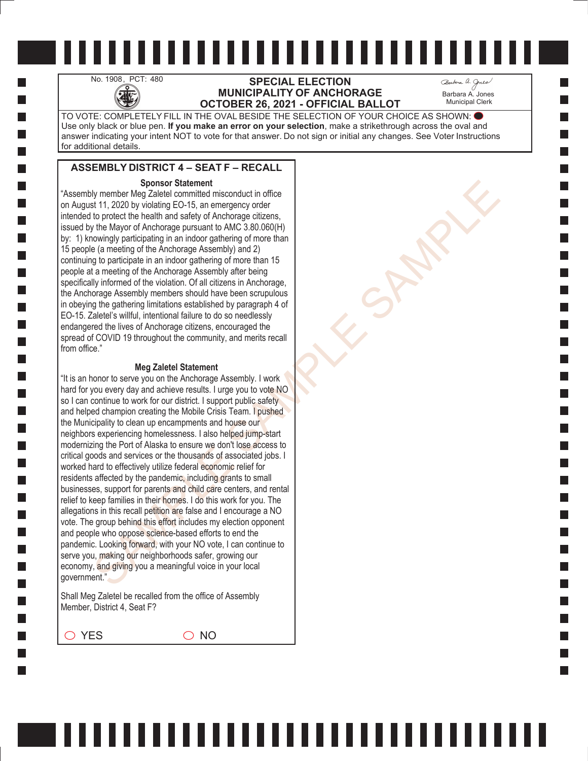## No. 1908, PCT: 480 **SPECIAL ELECTION**<br>MUNICIPALITY OF ANCHO **MUNICIPALITY OF ANCHORAGE OCTOBER 26, 2021 - OFFICIAL BALLOT**

Barbara A. Jones Municipal Clerk

TO VOTE: COMPLETELY FILL IN THE OVAL BESIDE THE SELECTION OF YOUR CHOICE AS SHOWN: Use only black or blue pen. **If you make an error on your selection**, make a strikethrough across the oval and answer indicating your intent NOT to vote for that answer. Do not sign or initial any changes. See Voter Instructions for additional details.

## **ASSEMBLY DISTRICT 4 – SEAT F – RECALL**

#### **Sponsor Statement**

"Assembly member Meg Zaletel committed misconduct in office on August 11, 2020 by violating EO-15, an emergency order intended to protect the health and safety of Anchorage citizens, issued by the Mayor of Anchorage pursuant to AMC 3.80.060(H) by: 1) knowingly participating in an indoor gathering of more than 15 people (a meeting of the Anchorage Assembly) and 2) continuing to participate in an indoor gathering of more than 15 people at a meeting of the Anchorage Assembly after being specifically informed of the violation. Of all citizens in Anchorage, the Anchorage Assembly members should have been scrupulous in obeying the gathering limitations established by paragraph 4 of EO-15. Zaletel's willful, intentional failure to do so needlessly endangered the lives of Anchorage citizens, encouraged the spread of COVID 19 throughout the community, and merits recall from office."

#### **Meg Zaletel Statement**

Sparse of Statement<br>
Sparse (and the material in sisconduct in office<br>
for the product the health and stately of Anchorage otizens,<br>
the Mayr of Anchorage pursuant to AMC 3.80.000(H)<br>
the Mayr of Anchorage pursuant to AMC "It is an honor to serve you on the Anchorage Assembly. I work hard for you every day and achieve results. I urge you to vote NO so I can continue to work for our district. I support public safety and helped champion creating the Mobile Crisis Team. I pushed the Municipality to clean up encampments and house our neighbors experiencing homelessness. I also helped jump-start modernizing the Port of Alaska to ensure we don't lose access to critical goods and services or the thousands of associated jobs. I worked hard to effectively utilize federal economic relief for residents affected by the pandemic, including grants to small businesses, support for parents and child care centers, and rental relief to keep families in their homes. I do this work for you. The allegations in this recall petition are false and I encourage a NO vote. The group behind this effort includes my election opponent and people who oppose science-based efforts to end the pandemic. Looking forward, with your NO vote, I can continue to serve you, making our neighborhoods safer, growing our economy, and giving you a meaningful voice in your local government."

Shall Meg Zaletel be recalled from the office of Assembly Member, District 4, Seat F?

 $\bigcirc$  YES  $\bigcirc$  NO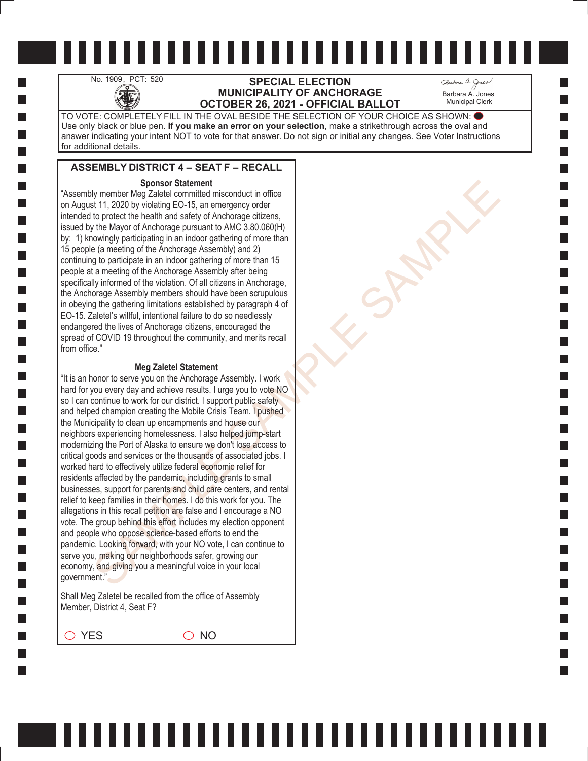# No. 1909, PCT: 520 **SPECIAL ELECTION**<br>MUNICIPALITY OF ANCHO<br>OCTOBER 26, 2021 - OFFICIAL **MUNICIPALITY OF ANCHORAGE OCTOBER 26, 2021 - OFFICIAL BALLOT**

Barbara A. Jones Municipal Clerk

TO VOTE: COMPLETELY FILL IN THE OVAL BESIDE THE SELECTION OF YOUR CHOICE AS SHOWN: Use only black or blue pen. **If you make an error on your selection**, make a strikethrough across the oval and answer indicating your intent NOT to vote for that answer. Do not sign or initial any changes. See Voter Instructions for additional details.

### **ASSEMBLY DISTRICT 4 – SEAT F – RECALL**

#### **Sponsor Statement**

"Assembly member Meg Zaletel committed misconduct in office on August 11, 2020 by violating EO-15, an emergency order intended to protect the health and safety of Anchorage citizens, issued by the Mayor of Anchorage pursuant to AMC 3.80.060(H) by: 1) knowingly participating in an indoor gathering of more than 15 people (a meeting of the Anchorage Assembly) and 2) continuing to participate in an indoor gathering of more than 15 people at a meeting of the Anchorage Assembly after being specifically informed of the violation. Of all citizens in Anchorage, the Anchorage Assembly members should have been scrupulous in obeying the gathering limitations established by paragraph 4 of EO-15. Zaletel's willful, intentional failure to do so needlessly endangered the lives of Anchorage citizens, encouraged the spread of COVID 19 throughout the community, and merits recall from office."

#### **Meg Zaletel Statement**

Sparse of Statement<br>
Sparse (and the material in sisconduct in office<br>
for the product the health and stately of Anchorage otizens,<br>
the Mayr of Anchorage pursuant to AMC 3.80.000(H)<br>
the Mayr of Anchorage pursuant to AMC "It is an honor to serve you on the Anchorage Assembly. I work hard for you every day and achieve results. I urge you to vote NO so I can continue to work for our district. I support public safety and helped champion creating the Mobile Crisis Team. I pushed the Municipality to clean up encampments and house our neighbors experiencing homelessness. I also helped jump-start modernizing the Port of Alaska to ensure we don't lose access to critical goods and services or the thousands of associated jobs. I worked hard to effectively utilize federal economic relief for residents affected by the pandemic, including grants to small businesses, support for parents and child care centers, and rental relief to keep families in their homes. I do this work for you. The allegations in this recall petition are false and I encourage a NO vote. The group behind this effort includes my election opponent and people who oppose science-based efforts to end the pandemic. Looking forward, with your NO vote, I can continue to serve you, making our neighborhoods safer, growing our economy, and giving you a meaningful voice in your local government."

Shall Meg Zaletel be recalled from the office of Assembly Member, District 4, Seat F?

 $\bigcirc$  YES  $\bigcirc$  NO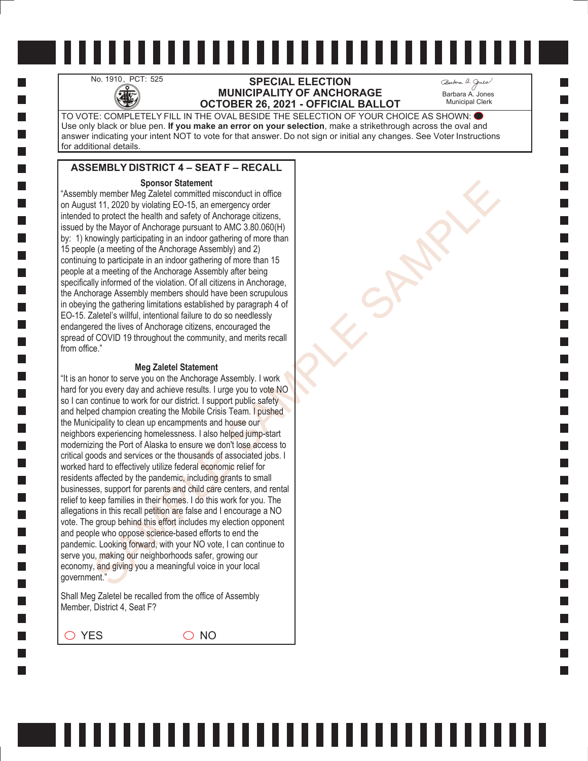## No. 1910, PCT: 525 **SPECIAL ELECTION**<br>MUNICIPALITY OF ANCHO<br>OCTOBER 26, 2021 - OFFICIAL **MUNICIPALITY OF ANCHORAGE OCTOBER 26, 2021 - OFFICIAL BALLOT**

Barbara A. Jones Municipal Clerk

TO VOTE: COMPLETELY FILL IN THE OVAL BESIDE THE SELECTION OF YOUR CHOICE AS SHOWN: Use only black or blue pen. **If you make an error on your selection**, make a strikethrough across the oval and answer indicating your intent NOT to vote for that answer. Do not sign or initial any changes. See Voter Instructions for additional details.

### **ASSEMBLY DISTRICT 4 – SEAT F – RECALL**

#### **Sponsor Statement**

"Assembly member Meg Zaletel committed misconduct in office on August 11, 2020 by violating EO-15, an emergency order intended to protect the health and safety of Anchorage citizens, issued by the Mayor of Anchorage pursuant to AMC 3.80.060(H) by: 1) knowingly participating in an indoor gathering of more than 15 people (a meeting of the Anchorage Assembly) and 2) continuing to participate in an indoor gathering of more than 15 people at a meeting of the Anchorage Assembly after being specifically informed of the violation. Of all citizens in Anchorage, the Anchorage Assembly members should have been scrupulous in obeying the gathering limitations established by paragraph 4 of EO-15. Zaletel's willful, intentional failure to do so needlessly endangered the lives of Anchorage citizens, encouraged the spread of COVID 19 throughout the community, and merits recall from office."

#### **Meg Zaletel Statement**

Sparse of Statement<br>
Sparse (and the material in sisconduct in office<br>
for the product the health and stately of Anchorage otizens,<br>
the Mayr of Anchorage pursuant to AMC 3.80.000(H)<br>
the Mayr of Anchorage pursuant to AMC "It is an honor to serve you on the Anchorage Assembly. I work hard for you every day and achieve results. I urge you to vote NO so I can continue to work for our district. I support public safety and helped champion creating the Mobile Crisis Team. I pushed the Municipality to clean up encampments and house our neighbors experiencing homelessness. I also helped jump-start modernizing the Port of Alaska to ensure we don't lose access to critical goods and services or the thousands of associated jobs. I worked hard to effectively utilize federal economic relief for residents affected by the pandemic, including grants to small businesses, support for parents and child care centers, and rental relief to keep families in their homes. I do this work for you. The allegations in this recall petition are false and I encourage a NO vote. The group behind this effort includes my election opponent and people who oppose science-based efforts to end the pandemic. Looking forward, with your NO vote, I can continue to serve you, making our neighborhoods safer, growing our economy, and giving you a meaningful voice in your local government."

Shall Meg Zaletel be recalled from the office of Assembly Member, District 4, Seat F?

 $\bigcirc$  YES  $\bigcirc$  NO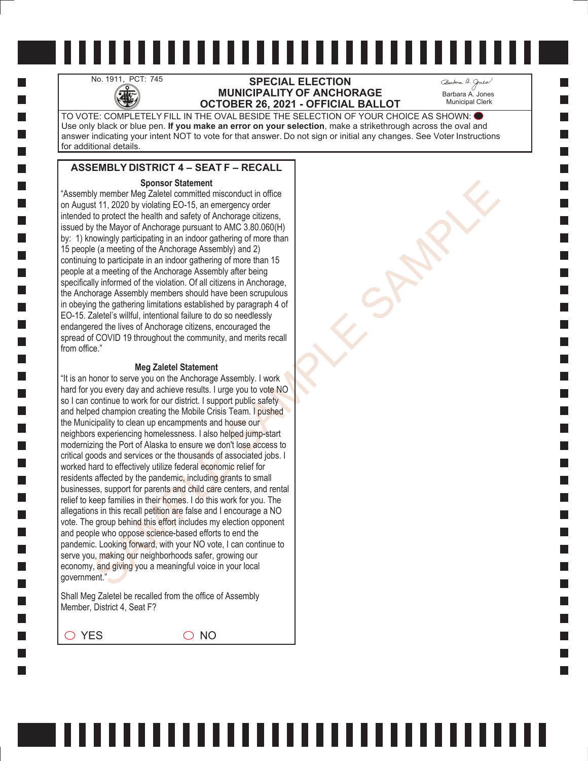## No. 1911, PCT: 745 **SPECIAL ELECTION**<br>MUNICIPALITY OF ANCHO<br>OCTOBER 26, 2021 - OFFICIAL **MUNICIPALITY OF ANCHORAGE OCTOBER 26, 2021 - OFFICIAL BALLOT**

Barbara A. Jones Municipal Clerk

TO VOTE: COMPLETELY FILL IN THE OVAL BESIDE THE SELECTION OF YOUR CHOICE AS SHOWN: Use only black or blue pen. **If you make an error on your selection**, make a strikethrough across the oval and answer indicating your intent NOT to vote for that answer. Do not sign or initial any changes. See Voter Instructions for additional details.

### **ASSEMBLY DISTRICT 4 – SEAT F – RECALL**

#### **Sponsor Statement**

"Assembly member Meg Zaletel committed misconduct in office on August 11, 2020 by violating EO-15, an emergency order intended to protect the health and safety of Anchorage citizens, issued by the Mayor of Anchorage pursuant to AMC 3.80.060(H) by: 1) knowingly participating in an indoor gathering of more than 15 people (a meeting of the Anchorage Assembly) and 2) continuing to participate in an indoor gathering of more than 15 people at a meeting of the Anchorage Assembly after being specifically informed of the violation. Of all citizens in Anchorage, the Anchorage Assembly members should have been scrupulous in obeying the gathering limitations established by paragraph 4 of EO-15. Zaletel's willful, intentional failure to do so needlessly endangered the lives of Anchorage citizens, encouraged the spread of COVID 19 throughout the community, and merits recall from office."

#### **Meg Zaletel Statement**

Sparse of Statement<br>
Sparse (and the material in sisconduct in office<br>
for the product the health and stately of Anchorage otizens,<br>
the Mayr of Anchorage pursuant to AMC 3.80.000(H)<br>
the Mayr of Anchorage pursuant to AMC "It is an honor to serve you on the Anchorage Assembly. I work hard for you every day and achieve results. I urge you to vote NO so I can continue to work for our district. I support public safety and helped champion creating the Mobile Crisis Team. I pushed the Municipality to clean up encampments and house our neighbors experiencing homelessness. I also helped jump-start modernizing the Port of Alaska to ensure we don't lose access to critical goods and services or the thousands of associated jobs. I worked hard to effectively utilize federal economic relief for residents affected by the pandemic, including grants to small businesses, support for parents and child care centers, and rental relief to keep families in their homes. I do this work for you. The allegations in this recall petition are false and I encourage a NO vote. The group behind this effort includes my election opponent and people who oppose science-based efforts to end the pandemic. Looking forward, with your NO vote, I can continue to serve you, making our neighborhoods safer, growing our economy, and giving you a meaningful voice in your local government."

Shall Meg Zaletel be recalled from the office of Assembly Member, District 4, Seat F?

 $\bigcirc$  YES  $\bigcirc$  NO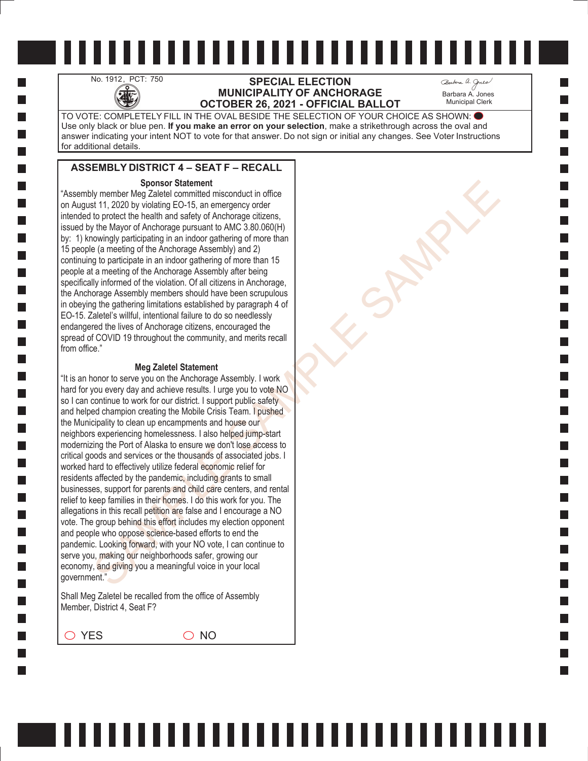## No. 1912, PCT: 750 **SPECIAL ELECTION**<br>MUNICIPALITY OF ANCHO<br>OCTOBER 26, 2021 - OFFICIAL **MUNICIPALITY OF ANCHORAGE OCTOBER 26, 2021 - OFFICIAL BALLOT**

Barbara A. Jones Municipal Clerk

TO VOTE: COMPLETELY FILL IN THE OVAL BESIDE THE SELECTION OF YOUR CHOICE AS SHOWN: Use only black or blue pen. **If you make an error on your selection**, make a strikethrough across the oval and answer indicating your intent NOT to vote for that answer. Do not sign or initial any changes. See Voter Instructions for additional details.

## **ASSEMBLY DISTRICT 4 – SEAT F – RECALL**

#### **Sponsor Statement**

"Assembly member Meg Zaletel committed misconduct in office on August 11, 2020 by violating EO-15, an emergency order intended to protect the health and safety of Anchorage citizens, issued by the Mayor of Anchorage pursuant to AMC 3.80.060(H) by: 1) knowingly participating in an indoor gathering of more than 15 people (a meeting of the Anchorage Assembly) and 2) continuing to participate in an indoor gathering of more than 15 people at a meeting of the Anchorage Assembly after being specifically informed of the violation. Of all citizens in Anchorage, the Anchorage Assembly members should have been scrupulous in obeying the gathering limitations established by paragraph 4 of EO-15. Zaletel's willful, intentional failure to do so needlessly endangered the lives of Anchorage citizens, encouraged the spread of COVID 19 throughout the community, and merits recall from office."

#### **Meg Zaletel Statement**

Sparse of Statement<br>
Sparse (and the material in sisconduct in office<br>
for the product the health and stately of Anchorage otizens,<br>
the Mayr of Anchorage pursuant to AMC 3.80.000(H)<br>
the Mayr of Anchorage pursuant to AMC "It is an honor to serve you on the Anchorage Assembly. I work hard for you every day and achieve results. I urge you to vote NO so I can continue to work for our district. I support public safety and helped champion creating the Mobile Crisis Team. I pushed the Municipality to clean up encampments and house our neighbors experiencing homelessness. I also helped jump-start modernizing the Port of Alaska to ensure we don't lose access to critical goods and services or the thousands of associated jobs. I worked hard to effectively utilize federal economic relief for residents affected by the pandemic, including grants to small businesses, support for parents and child care centers, and rental relief to keep families in their homes. I do this work for you. The allegations in this recall petition are false and I encourage a NO vote. The group behind this effort includes my election opponent and people who oppose science-based efforts to end the pandemic. Looking forward, with your NO vote, I can continue to serve you, making our neighborhoods safer, growing our economy, and giving you a meaningful voice in your local government."

Shall Meg Zaletel be recalled from the office of Assembly Member, District 4, Seat F?

 $\bigcirc$  YES  $\bigcirc$  NO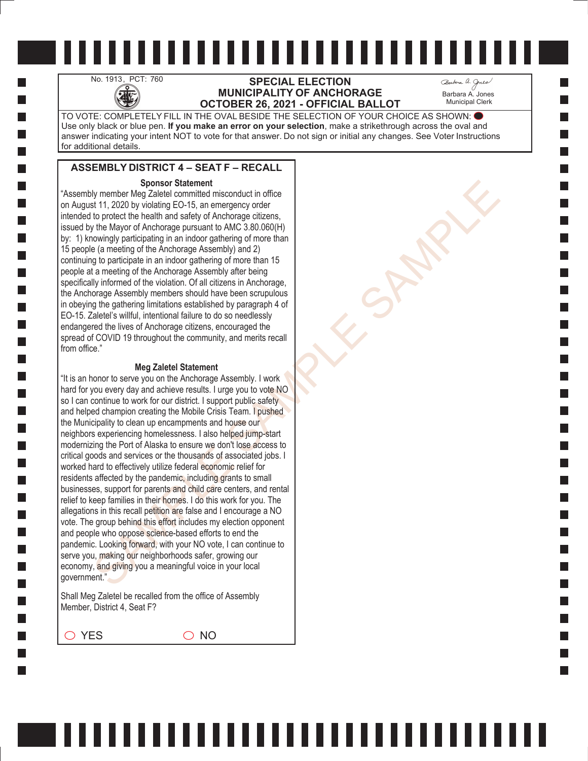## No. 1913, PCT: 760 **SPECIAL ELECTION**<br>MUNICIPALITY OF ANCHO<br>OCTOBER 26, 2021 - OFFICIAL **MUNICIPALITY OF ANCHORAGE OCTOBER 26, 2021 - OFFICIAL BALLOT**

Barbara A. Jones Municipal Clerk

TO VOTE: COMPLETELY FILL IN THE OVAL BESIDE THE SELECTION OF YOUR CHOICE AS SHOWN: Use only black or blue pen. **If you make an error on your selection**, make a strikethrough across the oval and answer indicating your intent NOT to vote for that answer. Do not sign or initial any changes. See Voter Instructions for additional details.

## **ASSEMBLY DISTRICT 4 – SEAT F – RECALL**

#### **Sponsor Statement**

"Assembly member Meg Zaletel committed misconduct in office on August 11, 2020 by violating EO-15, an emergency order intended to protect the health and safety of Anchorage citizens, issued by the Mayor of Anchorage pursuant to AMC 3.80.060(H) by: 1) knowingly participating in an indoor gathering of more than 15 people (a meeting of the Anchorage Assembly) and 2) continuing to participate in an indoor gathering of more than 15 people at a meeting of the Anchorage Assembly after being specifically informed of the violation. Of all citizens in Anchorage, the Anchorage Assembly members should have been scrupulous in obeying the gathering limitations established by paragraph 4 of EO-15. Zaletel's willful, intentional failure to do so needlessly endangered the lives of Anchorage citizens, encouraged the spread of COVID 19 throughout the community, and merits recall from office."

#### **Meg Zaletel Statement**

Sparse of Statement<br>
Sparse (and the material in sisconduct in office<br>
for the product the health and stately of Anchorage otizens,<br>
the Mayr of Anchorage pursuant to AMC 3.80.000(H)<br>
the Mayr of Anchorage pursuant to AMC "It is an honor to serve you on the Anchorage Assembly. I work hard for you every day and achieve results. I urge you to vote NO so I can continue to work for our district. I support public safety and helped champion creating the Mobile Crisis Team. I pushed the Municipality to clean up encampments and house our neighbors experiencing homelessness. I also helped jump-start modernizing the Port of Alaska to ensure we don't lose access to critical goods and services or the thousands of associated jobs. I worked hard to effectively utilize federal economic relief for residents affected by the pandemic, including grants to small businesses, support for parents and child care centers, and rental relief to keep families in their homes. I do this work for you. The allegations in this recall petition are false and I encourage a NO vote. The group behind this effort includes my election opponent and people who oppose science-based efforts to end the pandemic. Looking forward, with your NO vote, I can continue to serve you, making our neighborhoods safer, growing our economy, and giving you a meaningful voice in your local government."

Shall Meg Zaletel be recalled from the office of Assembly Member, District 4, Seat F?

 $\bigcirc$  YES  $\bigcirc$  NO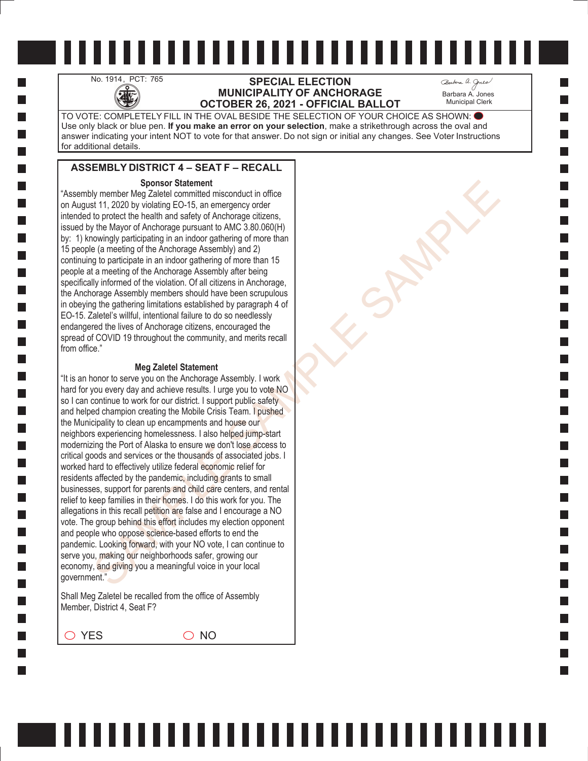## No. 1914, PCT: 765 **SPECIAL ELECTION**<br>MUNICIPALITY OF ANCHO **MUNICIPALITY OF ANCHORAGE OCTOBER 26, 2021 - OFFICIAL BALLOT**

Barbara A. Jones Municipal Clerk

TO VOTE: COMPLETELY FILL IN THE OVAL BESIDE THE SELECTION OF YOUR CHOICE AS SHOWN: Use only black or blue pen. **If you make an error on your selection**, make a strikethrough across the oval and answer indicating your intent NOT to vote for that answer. Do not sign or initial any changes. See Voter Instructions for additional details.

### **ASSEMBLY DISTRICT 4 – SEAT F – RECALL**

#### **Sponsor Statement**

"Assembly member Meg Zaletel committed misconduct in office on August 11, 2020 by violating EO-15, an emergency order intended to protect the health and safety of Anchorage citizens, issued by the Mayor of Anchorage pursuant to AMC 3.80.060(H) by: 1) knowingly participating in an indoor gathering of more than 15 people (a meeting of the Anchorage Assembly) and 2) continuing to participate in an indoor gathering of more than 15 people at a meeting of the Anchorage Assembly after being specifically informed of the violation. Of all citizens in Anchorage, the Anchorage Assembly members should have been scrupulous in obeying the gathering limitations established by paragraph 4 of EO-15. Zaletel's willful, intentional failure to do so needlessly endangered the lives of Anchorage citizens, encouraged the spread of COVID 19 throughout the community, and merits recall from office."

#### **Meg Zaletel Statement**

Sparse of Statement<br>
Sparse (and the material in sisconduct in office<br>
for the product the health and stately of Anchorage otizens,<br>
the Mayr of Anchorage pursuant to AMC 3.80.000(H)<br>
the Mayr of Anchorage pursuant to AMC "It is an honor to serve you on the Anchorage Assembly. I work hard for you every day and achieve results. I urge you to vote NO so I can continue to work for our district. I support public safety and helped champion creating the Mobile Crisis Team. I pushed the Municipality to clean up encampments and house our neighbors experiencing homelessness. I also helped jump-start modernizing the Port of Alaska to ensure we don't lose access to critical goods and services or the thousands of associated jobs. I worked hard to effectively utilize federal economic relief for residents affected by the pandemic, including grants to small businesses, support for parents and child care centers, and rental relief to keep families in their homes. I do this work for you. The allegations in this recall petition are false and I encourage a NO vote. The group behind this effort includes my election opponent and people who oppose science-based efforts to end the pandemic. Looking forward, with your NO vote, I can continue to serve you, making our neighborhoods safer, growing our economy, and giving you a meaningful voice in your local government."

Shall Meg Zaletel be recalled from the office of Assembly Member, District 4, Seat F?

 $\bigcirc$  YES  $\bigcirc$  NO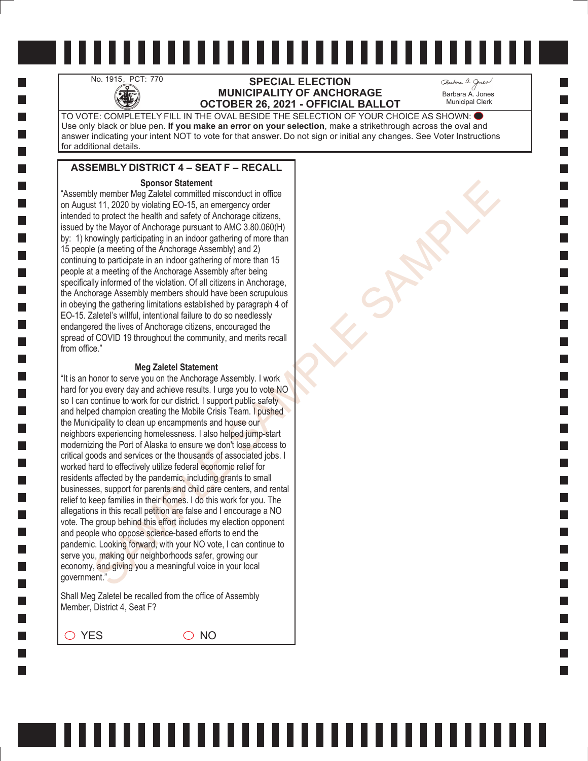# No. 1915, PCT: 770 **SPECIAL ELECTION**<br>MUNICIPALITY OF ANCHO<br>OCTOBER 26, 2021 - OFFICIAL **MUNICIPALITY OF ANCHORAGE OCTOBER 26, 2021 - OFFICIAL BALLOT**

Barbara A. Jones Municipal Clerk

TO VOTE: COMPLETELY FILL IN THE OVAL BESIDE THE SELECTION OF YOUR CHOICE AS SHOWN: Use only black or blue pen. **If you make an error on your selection**, make a strikethrough across the oval and answer indicating your intent NOT to vote for that answer. Do not sign or initial any changes. See Voter Instructions for additional details.

### **ASSEMBLY DISTRICT 4 – SEAT F – RECALL**

#### **Sponsor Statement**

"Assembly member Meg Zaletel committed misconduct in office on August 11, 2020 by violating EO-15, an emergency order intended to protect the health and safety of Anchorage citizens, issued by the Mayor of Anchorage pursuant to AMC 3.80.060(H) by: 1) knowingly participating in an indoor gathering of more than 15 people (a meeting of the Anchorage Assembly) and 2) continuing to participate in an indoor gathering of more than 15 people at a meeting of the Anchorage Assembly after being specifically informed of the violation. Of all citizens in Anchorage, the Anchorage Assembly members should have been scrupulous in obeying the gathering limitations established by paragraph 4 of EO-15. Zaletel's willful, intentional failure to do so needlessly endangered the lives of Anchorage citizens, encouraged the spread of COVID 19 throughout the community, and merits recall from office."

#### **Meg Zaletel Statement**

Sparse of Statement<br>
Sparse (and the material in sisconduct in office<br>
for the product the health and stately of Anchorage otizens,<br>
the Mayr of Anchorage pursuant to AMC 3.80.000(H)<br>
the Mayr of Anchorage pursuant to AMC "It is an honor to serve you on the Anchorage Assembly. I work hard for you every day and achieve results. I urge you to vote NO so I can continue to work for our district. I support public safety and helped champion creating the Mobile Crisis Team. I pushed the Municipality to clean up encampments and house our neighbors experiencing homelessness. I also helped jump-start modernizing the Port of Alaska to ensure we don't lose access to critical goods and services or the thousands of associated jobs. I worked hard to effectively utilize federal economic relief for residents affected by the pandemic, including grants to small businesses, support for parents and child care centers, and rental relief to keep families in their homes. I do this work for you. The allegations in this recall petition are false and I encourage a NO vote. The group behind this effort includes my election opponent and people who oppose science-based efforts to end the pandemic. Looking forward, with your NO vote, I can continue to serve you, making our neighborhoods safer, growing our economy, and giving you a meaningful voice in your local government."

Shall Meg Zaletel be recalled from the office of Assembly Member, District 4, Seat F?

 $\bigcirc$  YES  $\bigcirc$  NO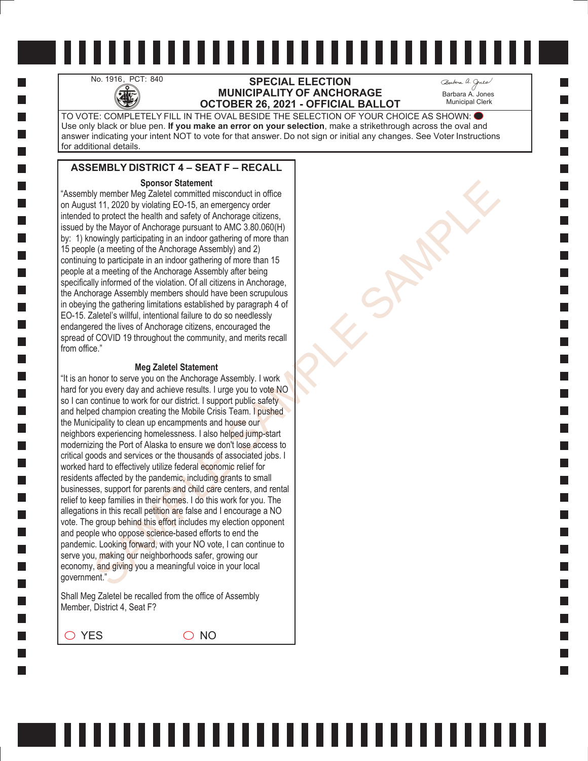## No. 1916, PCT: 840 **SPECIAL ELECTION**<br>MUNICIPALITY OF ANCHO **MUNICIPALITY OF ANCHORAGE OCTOBER 26, 2021 - OFFICIAL BALLOT**

Barbara A. Jones Municipal Clerk

TO VOTE: COMPLETELY FILL IN THE OVAL BESIDE THE SELECTION OF YOUR CHOICE AS SHOWN: Use only black or blue pen. **If you make an error on your selection**, make a strikethrough across the oval and answer indicating your intent NOT to vote for that answer. Do not sign or initial any changes. See Voter Instructions for additional details.

## **ASSEMBLY DISTRICT 4 – SEAT F – RECALL**

#### **Sponsor Statement**

"Assembly member Meg Zaletel committed misconduct in office on August 11, 2020 by violating EO-15, an emergency order intended to protect the health and safety of Anchorage citizens, issued by the Mayor of Anchorage pursuant to AMC 3.80.060(H) by: 1) knowingly participating in an indoor gathering of more than 15 people (a meeting of the Anchorage Assembly) and 2) continuing to participate in an indoor gathering of more than 15 people at a meeting of the Anchorage Assembly after being specifically informed of the violation. Of all citizens in Anchorage, the Anchorage Assembly members should have been scrupulous in obeying the gathering limitations established by paragraph 4 of EO-15. Zaletel's willful, intentional failure to do so needlessly endangered the lives of Anchorage citizens, encouraged the spread of COVID 19 throughout the community, and merits recall from office."

#### **Meg Zaletel Statement**

Sparse of Statement<br>
Sparse (and the material in sisconduct in office<br>
for the product the health and stately of Anchorage otizens,<br>
the Mayr of Anchorage pursuant to AMC 3.80.000(H)<br>
the Mayr of Anchorage pursuant to AMC "It is an honor to serve you on the Anchorage Assembly. I work hard for you every day and achieve results. I urge you to vote NO so I can continue to work for our district. I support public safety and helped champion creating the Mobile Crisis Team. I pushed the Municipality to clean up encampments and house our neighbors experiencing homelessness. I also helped jump-start modernizing the Port of Alaska to ensure we don't lose access to critical goods and services or the thousands of associated jobs. I worked hard to effectively utilize federal economic relief for residents affected by the pandemic, including grants to small businesses, support for parents and child care centers, and rental relief to keep families in their homes. I do this work for you. The allegations in this recall petition are false and I encourage a NO vote. The group behind this effort includes my election opponent and people who oppose science-based efforts to end the pandemic. Looking forward, with your NO vote, I can continue to serve you, making our neighborhoods safer, growing our economy, and giving you a meaningful voice in your local government."

Shall Meg Zaletel be recalled from the office of Assembly Member, District 4, Seat F?

 $\bigcirc$  YES  $\bigcirc$  NO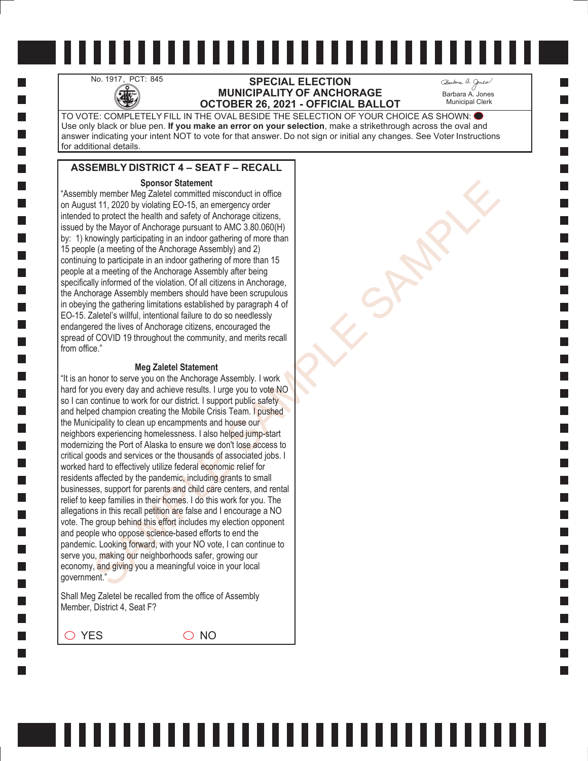## No. 1917, PCT: 845 **SPECIAL ELECTION**<br>MUNICIPALITY OF ANCHO **MUNICIPALITY OF ANCHORAGE OCTOBER 26, 2021 - OFFICIAL BALLOT**

Barbara A. Jones Municipal Clerk

TO VOTE: COMPLETELY FILL IN THE OVAL BESIDE THE SELECTION OF YOUR CHOICE AS SHOWN: Use only black or blue pen. **If you make an error on your selection**, make a strikethrough across the oval and answer indicating your intent NOT to vote for that answer. Do not sign or initial any changes. See Voter Instructions for additional details.

### **ASSEMBLY DISTRICT 4 – SEAT F – RECALL**

#### **Sponsor Statement**

"Assembly member Meg Zaletel committed misconduct in office on August 11, 2020 by violating EO-15, an emergency order intended to protect the health and safety of Anchorage citizens, issued by the Mayor of Anchorage pursuant to AMC 3.80.060(H) by: 1) knowingly participating in an indoor gathering of more than 15 people (a meeting of the Anchorage Assembly) and 2) continuing to participate in an indoor gathering of more than 15 people at a meeting of the Anchorage Assembly after being specifically informed of the violation. Of all citizens in Anchorage, the Anchorage Assembly members should have been scrupulous in obeying the gathering limitations established by paragraph 4 of EO-15. Zaletel's willful, intentional failure to do so needlessly endangered the lives of Anchorage citizens, encouraged the spread of COVID 19 throughout the community, and merits recall from office."

#### **Meg Zaletel Statement**

Sparse of Statement<br>
Sparse (and the material in sisconduct in office<br>
for the product the health and stately of Anchorage otizens,<br>
the Mayr of Anchorage pursuant to AMC 3.80.000(H)<br>
the Mayr of Anchorage pursuant to AMC "It is an honor to serve you on the Anchorage Assembly. I work hard for you every day and achieve results. I urge you to vote NO so I can continue to work for our district. I support public safety and helped champion creating the Mobile Crisis Team. I pushed the Municipality to clean up encampments and house our neighbors experiencing homelessness. I also helped jump-start modernizing the Port of Alaska to ensure we don't lose access to critical goods and services or the thousands of associated jobs. I worked hard to effectively utilize federal economic relief for residents affected by the pandemic, including grants to small businesses, support for parents and child care centers, and rental relief to keep families in their homes. I do this work for you. The allegations in this recall petition are false and I encourage a NO vote. The group behind this effort includes my election opponent and people who oppose science-based efforts to end the pandemic. Looking forward, with your NO vote, I can continue to serve you, making our neighborhoods safer, growing our economy, and giving you a meaningful voice in your local government."

Shall Meg Zaletel be recalled from the office of Assembly Member, District 4, Seat F?

 $\bigcirc$  YES  $\bigcirc$  NO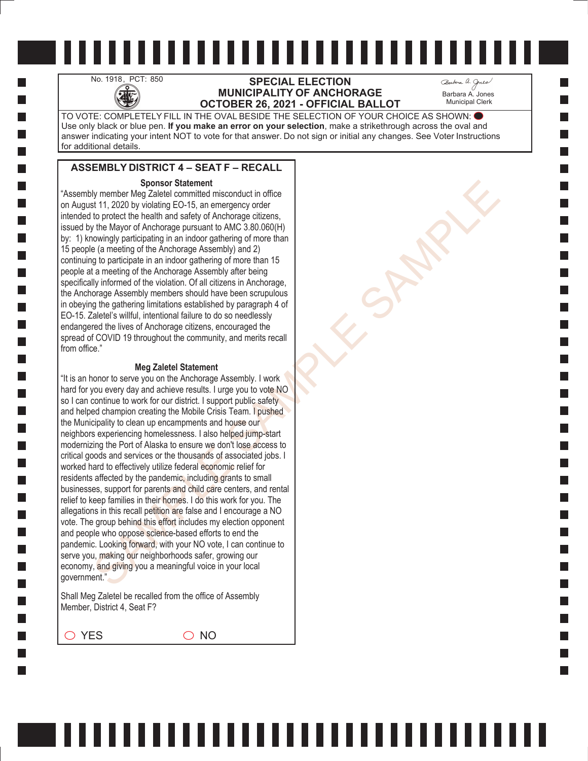# No. 1918, PCT: 850 **SPECIAL ELECTION**<br>MUNICIPALITY OF ANCHO<br>OCTOBER 26, 2021 - OFFICIAL **MUNICIPALITY OF ANCHORAGE OCTOBER 26, 2021 - OFFICIAL BALLOT**

Barbara A. Jones Municipal Clerk

TO VOTE: COMPLETELY FILL IN THE OVAL BESIDE THE SELECTION OF YOUR CHOICE AS SHOWN: Use only black or blue pen. **If you make an error on your selection**, make a strikethrough across the oval and answer indicating your intent NOT to vote for that answer. Do not sign or initial any changes. See Voter Instructions for additional details.

## **ASSEMBLY DISTRICT 4 – SEAT F – RECALL**

#### **Sponsor Statement**

"Assembly member Meg Zaletel committed misconduct in office on August 11, 2020 by violating EO-15, an emergency order intended to protect the health and safety of Anchorage citizens, issued by the Mayor of Anchorage pursuant to AMC 3.80.060(H) by: 1) knowingly participating in an indoor gathering of more than 15 people (a meeting of the Anchorage Assembly) and 2) continuing to participate in an indoor gathering of more than 15 people at a meeting of the Anchorage Assembly after being specifically informed of the violation. Of all citizens in Anchorage, the Anchorage Assembly members should have been scrupulous in obeying the gathering limitations established by paragraph 4 of EO-15. Zaletel's willful, intentional failure to do so needlessly endangered the lives of Anchorage citizens, encouraged the spread of COVID 19 throughout the community, and merits recall from office."

#### **Meg Zaletel Statement**

Sparse of Statement<br>
Sparse (and the material in sisconduct in office<br>
for the product the health and stately of Anchorage otizens,<br>
the Mayr of Anchorage pursuant to AMC 3.80.000(H)<br>
the Mayr of Anchorage pursuant to AMC "It is an honor to serve you on the Anchorage Assembly. I work hard for you every day and achieve results. I urge you to vote NO so I can continue to work for our district. I support public safety and helped champion creating the Mobile Crisis Team. I pushed the Municipality to clean up encampments and house our neighbors experiencing homelessness. I also helped jump-start modernizing the Port of Alaska to ensure we don't lose access to critical goods and services or the thousands of associated jobs. I worked hard to effectively utilize federal economic relief for residents affected by the pandemic, including grants to small businesses, support for parents and child care centers, and rental relief to keep families in their homes. I do this work for you. The allegations in this recall petition are false and I encourage a NO vote. The group behind this effort includes my election opponent and people who oppose science-based efforts to end the pandemic. Looking forward, with your NO vote, I can continue to serve you, making our neighborhoods safer, growing our economy, and giving you a meaningful voice in your local government."

Shall Meg Zaletel be recalled from the office of Assembly Member, District 4, Seat F?

 $\bigcirc$  YES  $\bigcirc$  NO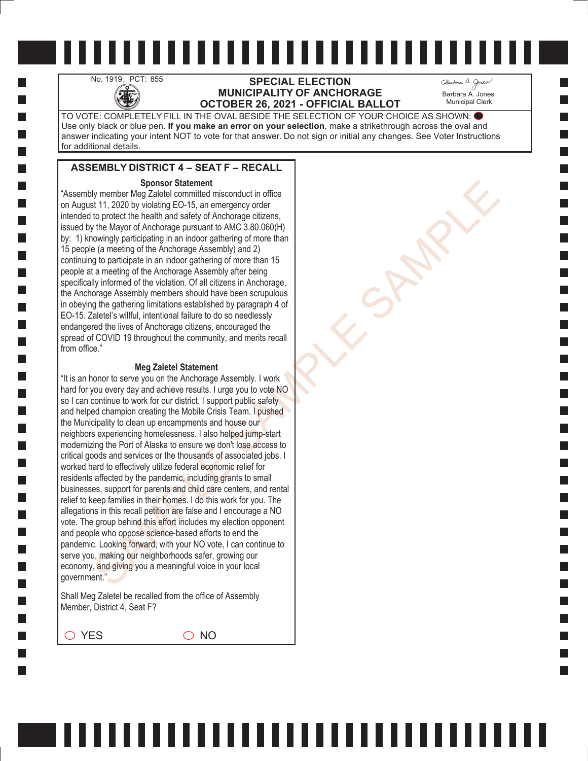## No. 1919, PCT: 855 **SPECIAL ELECTION**<br>MUNICIPALITY OF ANCHO **MUNICIPALITY OF ANCHORAGE OCTOBER 26, 2021 - OFFICIAL BALLOT**

Barbara A. Jones Municipal Clerk

TO VOTE: COMPLETELY FILL IN THE OVAL BESIDE THE SELECTION OF YOUR CHOICE AS SHOWN: Use only black or blue pen. **If you make an error on your selection**, make a strikethrough across the oval and answer indicating your intent NOT to vote for that answer. Do not sign or initial any changes. See Voter Instructions for additional details.

## **ASSEMBLY DISTRICT 4 – SEAT F – RECALL**

#### **Sponsor Statement**

"Assembly member Meg Zaletel committed misconduct in office on August 11, 2020 by violating EO-15, an emergency order intended to protect the health and safety of Anchorage citizens, issued by the Mayor of Anchorage pursuant to AMC 3.80.060(H) by: 1) knowingly participating in an indoor gathering of more than 15 people (a meeting of the Anchorage Assembly) and 2) continuing to participate in an indoor gathering of more than 15 people at a meeting of the Anchorage Assembly after being specifically informed of the violation. Of all citizens in Anchorage, the Anchorage Assembly members should have been scrupulous in obeying the gathering limitations established by paragraph 4 of EO-15. Zaletel's willful, intentional failure to do so needlessly endangered the lives of Anchorage citizens, encouraged the spread of COVID 19 throughout the community, and merits recall from office."

#### **Meg Zaletel Statement**

Sparse of Statement<br>
Sparse (and the material in sisconduct in office<br>
for the product the health and stately of Anchorage otizens,<br>
the Mayr of Anchorage pursuant to AMC 3.80.000(H)<br>
the Mayr of Anchorage pursuant to AMC "It is an honor to serve you on the Anchorage Assembly. I work hard for you every day and achieve results. I urge you to vote NO so I can continue to work for our district. I support public safety and helped champion creating the Mobile Crisis Team. I pushed the Municipality to clean up encampments and house our neighbors experiencing homelessness. I also helped jump-start modernizing the Port of Alaska to ensure we don't lose access to critical goods and services or the thousands of associated jobs. I worked hard to effectively utilize federal economic relief for residents affected by the pandemic, including grants to small businesses, support for parents and child care centers, and rental relief to keep families in their homes. I do this work for you. The allegations in this recall petition are false and I encourage a NO vote. The group behind this effort includes my election opponent and people who oppose science-based efforts to end the pandemic. Looking forward, with your NO vote, I can continue to serve you, making our neighborhoods safer, growing our economy, and giving you a meaningful voice in your local government."

Shall Meg Zaletel be recalled from the office of Assembly Member, District 4, Seat F?

 $\bigcirc$  YES  $\bigcirc$  NO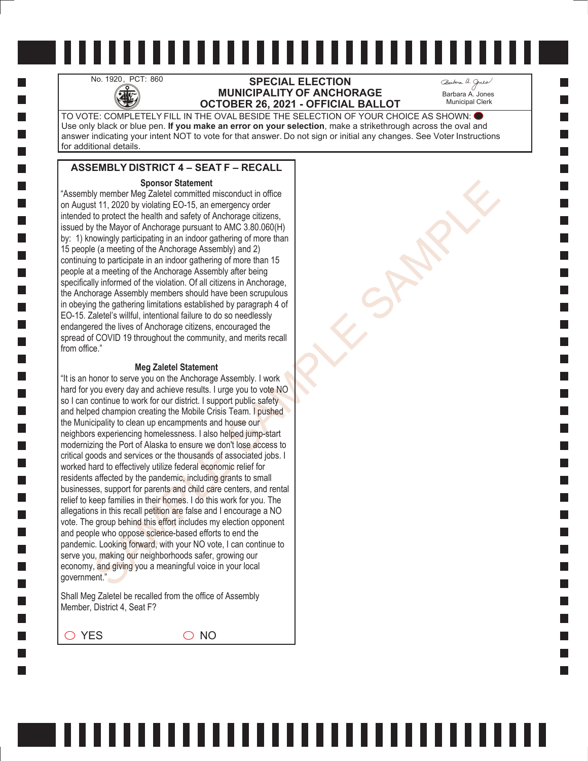## No. 1920, PCT: 860 **SPECIAL ELECTION**<br>MUNICIPALITY OF ANCHO<br>OCTOBER 26, 2021 - OFFICIAL **MUNICIPALITY OF ANCHORAGE OCTOBER 26, 2021 - OFFICIAL BALLOT**

Barbara A. Jones Municipal Clerk

TO VOTE: COMPLETELY FILL IN THE OVAL BESIDE THE SELECTION OF YOUR CHOICE AS SHOWN: Use only black or blue pen. **If you make an error on your selection**, make a strikethrough across the oval and answer indicating your intent NOT to vote for that answer. Do not sign or initial any changes. See Voter Instructions for additional details.

## **ASSEMBLY DISTRICT 4 – SEAT F – RECALL**

#### **Sponsor Statement**

"Assembly member Meg Zaletel committed misconduct in office on August 11, 2020 by violating EO-15, an emergency order intended to protect the health and safety of Anchorage citizens, issued by the Mayor of Anchorage pursuant to AMC 3.80.060(H) by: 1) knowingly participating in an indoor gathering of more than 15 people (a meeting of the Anchorage Assembly) and 2) continuing to participate in an indoor gathering of more than 15 people at a meeting of the Anchorage Assembly after being specifically informed of the violation. Of all citizens in Anchorage, the Anchorage Assembly members should have been scrupulous in obeying the gathering limitations established by paragraph 4 of EO-15. Zaletel's willful, intentional failure to do so needlessly endangered the lives of Anchorage citizens, encouraged the spread of COVID 19 throughout the community, and merits recall from office."

#### **Meg Zaletel Statement**

Sparse of Statement<br>
Sparse (and the material in sisconduct in office<br>
for the product the health and stately of Anchorage otizens,<br>
the Mayr of Anchorage pursuant to AMC 3.80.000(H)<br>
the Mayr of Anchorage pursuant to AMC "It is an honor to serve you on the Anchorage Assembly. I work hard for you every day and achieve results. I urge you to vote NO so I can continue to work for our district. I support public safety and helped champion creating the Mobile Crisis Team. I pushed the Municipality to clean up encampments and house our neighbors experiencing homelessness. I also helped jump-start modernizing the Port of Alaska to ensure we don't lose access to critical goods and services or the thousands of associated jobs. I worked hard to effectively utilize federal economic relief for residents affected by the pandemic, including grants to small businesses, support for parents and child care centers, and rental relief to keep families in their homes. I do this work for you. The allegations in this recall petition are false and I encourage a NO vote. The group behind this effort includes my election opponent and people who oppose science-based efforts to end the pandemic. Looking forward, with your NO vote, I can continue to serve you, making our neighborhoods safer, growing our economy, and giving you a meaningful voice in your local government."

Shall Meg Zaletel be recalled from the office of Assembly Member, District 4, Seat F?

 $\bigcirc$  YES  $\bigcirc$  NO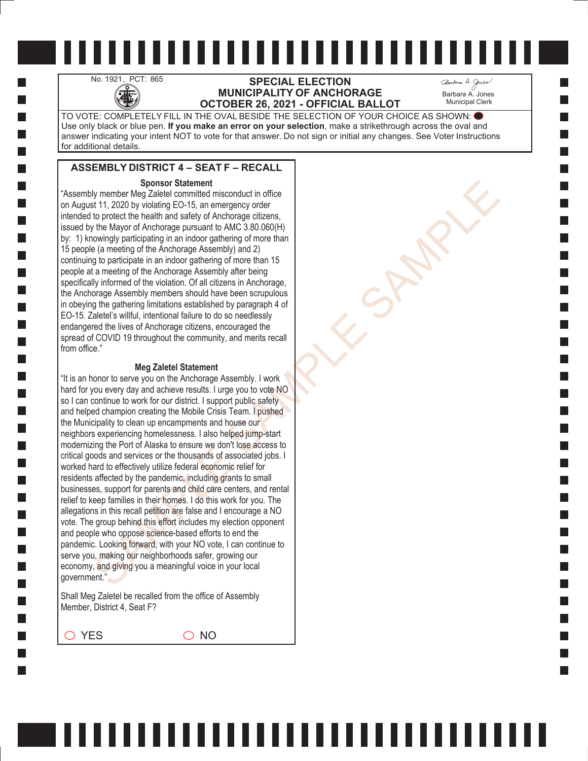## No. 1921, PCT: 865 **SPECIAL ELECTION**<br>MUNICIPALITY OF ANCHO<br>OCTOBER 26, 2021 - OFFICIAL **MUNICIPALITY OF ANCHORAGE OCTOBER 26, 2021 - OFFICIAL BALLOT**

Barbara A. Jones Municipal Clerk

TO VOTE: COMPLETELY FILL IN THE OVAL BESIDE THE SELECTION OF YOUR CHOICE AS SHOWN: Use only black or blue pen. **If you make an error on your selection**, make a strikethrough across the oval and answer indicating your intent NOT to vote for that answer. Do not sign or initial any changes. See Voter Instructions for additional details.

## **ASSEMBLY DISTRICT 4 – SEAT F – RECALL**

#### **Sponsor Statement**

"Assembly member Meg Zaletel committed misconduct in office on August 11, 2020 by violating EO-15, an emergency order intended to protect the health and safety of Anchorage citizens, issued by the Mayor of Anchorage pursuant to AMC 3.80.060(H) by: 1) knowingly participating in an indoor gathering of more than 15 people (a meeting of the Anchorage Assembly) and 2) continuing to participate in an indoor gathering of more than 15 people at a meeting of the Anchorage Assembly after being specifically informed of the violation. Of all citizens in Anchorage, the Anchorage Assembly members should have been scrupulous in obeying the gathering limitations established by paragraph 4 of EO-15. Zaletel's willful, intentional failure to do so needlessly endangered the lives of Anchorage citizens, encouraged the spread of COVID 19 throughout the community, and merits recall from office."

#### **Meg Zaletel Statement**

Sparse of Statement<br>
Sparse (and the material in sisconduct in office<br>
for the product the health and stately of Anchorage otizens,<br>
the Mayr of Anchorage pursuant to AMC 3.80.000(H)<br>
the Mayr of Anchorage pursuant to AMC "It is an honor to serve you on the Anchorage Assembly. I work hard for you every day and achieve results. I urge you to vote NO so I can continue to work for our district. I support public safety and helped champion creating the Mobile Crisis Team. I pushed the Municipality to clean up encampments and house our neighbors experiencing homelessness. I also helped jump-start modernizing the Port of Alaska to ensure we don't lose access to critical goods and services or the thousands of associated jobs. I worked hard to effectively utilize federal economic relief for residents affected by the pandemic, including grants to small businesses, support for parents and child care centers, and rental relief to keep families in their homes. I do this work for you. The allegations in this recall petition are false and I encourage a NO vote. The group behind this effort includes my election opponent and people who oppose science-based efforts to end the pandemic. Looking forward, with your NO vote, I can continue to serve you, making our neighborhoods safer, growing our economy, and giving you a meaningful voice in your local government."

Shall Meg Zaletel be recalled from the office of Assembly Member, District 4, Seat F?

 $\bigcirc$  YES  $\bigcirc$  NO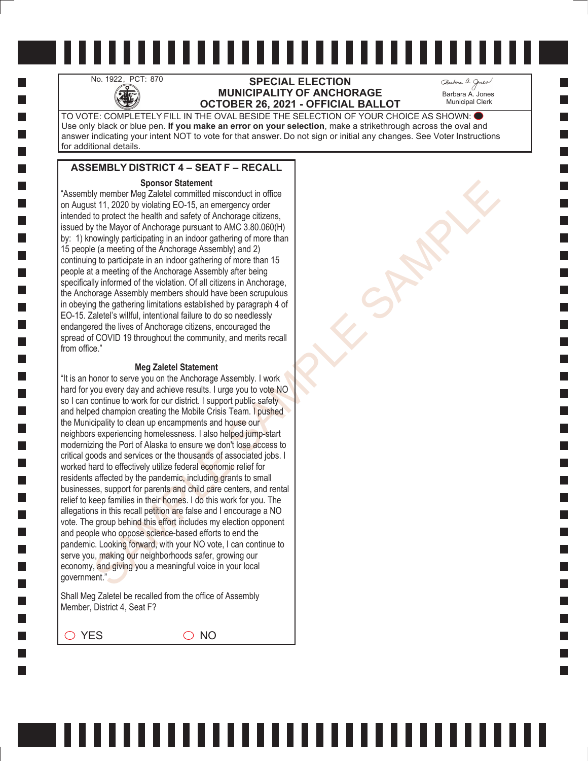# No. 1922, PCT: 870 **SPECIAL ELECTION**<br>MUNICIPALITY OF ANCHO<br>OCTOBER 26, 2021 - OFFICIAL **MUNICIPALITY OF ANCHORAGE OCTOBER 26, 2021 - OFFICIAL BALLOT**

Barbara A. Jones Municipal Clerk

TO VOTE: COMPLETELY FILL IN THE OVAL BESIDE THE SELECTION OF YOUR CHOICE AS SHOWN: Use only black or blue pen. **If you make an error on your selection**, make a strikethrough across the oval and answer indicating your intent NOT to vote for that answer. Do not sign or initial any changes. See Voter Instructions for additional details.

,,,,,,,,,,,,,,,,,,,,,,,,,,,

### **ASSEMBLY DISTRICT 4 – SEAT F – RECALL**

#### **Sponsor Statement**

"Assembly member Meg Zaletel committed misconduct in office on August 11, 2020 by violating EO-15, an emergency order intended to protect the health and safety of Anchorage citizens, issued by the Mayor of Anchorage pursuant to AMC 3.80.060(H) by: 1) knowingly participating in an indoor gathering of more than 15 people (a meeting of the Anchorage Assembly) and 2) continuing to participate in an indoor gathering of more than 15 people at a meeting of the Anchorage Assembly after being specifically informed of the violation. Of all citizens in Anchorage, the Anchorage Assembly members should have been scrupulous in obeying the gathering limitations established by paragraph 4 of EO-15. Zaletel's willful, intentional failure to do so needlessly endangered the lives of Anchorage citizens, encouraged the spread of COVID 19 throughout the community, and merits recall from office."

#### **Meg Zaletel Statement**

Sparse of Statement<br>
Sparse (and the material in sisconduct in office<br>
for the product the health and stately of Anchorage otizens,<br>
the Mayr of Anchorage pursuant to AMC 3.80.000(H)<br>
the Mayr of Anchorage pursuant to AMC "It is an honor to serve you on the Anchorage Assembly. I work hard for you every day and achieve results. I urge you to vote NO so I can continue to work for our district. I support public safety and helped champion creating the Mobile Crisis Team. I pushed the Municipality to clean up encampments and house our neighbors experiencing homelessness. I also helped jump-start modernizing the Port of Alaska to ensure we don't lose access to critical goods and services or the thousands of associated jobs. I worked hard to effectively utilize federal economic relief for residents affected by the pandemic, including grants to small businesses, support for parents and child care centers, and rental relief to keep families in their homes. I do this work for you. The allegations in this recall petition are false and I encourage a NO vote. The group behind this effort includes my election opponent and people who oppose science-based efforts to end the pandemic. Looking forward, with your NO vote, I can continue to serve you, making our neighborhoods safer, growing our economy, and giving you a meaningful voice in your local government."

Shall Meg Zaletel be recalled from the office of Assembly Member, District 4, Seat F?

 $\bigcirc$  YES  $\bigcirc$  NO